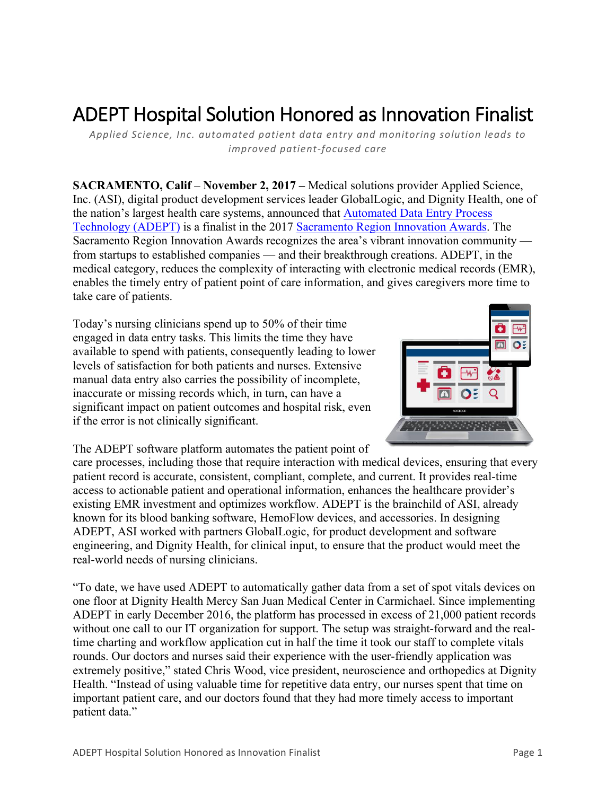# ADEPT Hospital Solution Honored as Innovation Finalist

*Applied Science, Inc. automated patient data entry and monitoring solution leads to improved patient-focused care*

**SACRAMENTO, Calif** – **November 2, 2017 –** Medical solutions provider Applied Science, Inc. (ASI), digital product development services leader GlobalLogic, and Dignity Health, one of the nation's largest health care systems, announced that Automated Data Entry Process Technology (ADEPT) is a finalist in the 2017 Sacramento Region Innovation Awards. The Sacramento Region Innovation Awards recognizes the area's vibrant innovation community from startups to established companies — and their breakthrough creations. ADEPT, in the medical category, reduces the complexity of interacting with electronic medical records (EMR), enables the timely entry of patient point of care information, and gives caregivers more time to take care of patients.

Today's nursing clinicians spend up to 50% of their time engaged in data entry tasks. This limits the time they have available to spend with patients, consequently leading to lower levels of satisfaction for both patients and nurses. Extensive manual data entry also carries the possibility of incomplete, inaccurate or missing records which, in turn, can have a significant impact on patient outcomes and hospital risk, even if the error is not clinically significant.



The ADEPT software platform automates the patient point of

care processes, including those that require interaction with medical devices, ensuring that every patient record is accurate, consistent, compliant, complete, and current. It provides real-time access to actionable patient and operational information, enhances the healthcare provider's existing EMR investment and optimizes workflow. ADEPT is the brainchild of ASI, already known for its blood banking software, HemoFlow devices, and accessories. In designing ADEPT, ASI worked with partners GlobalLogic, for product development and software engineering, and Dignity Health, for clinical input, to ensure that the product would meet the real-world needs of nursing clinicians.

"To date, we have used ADEPT to automatically gather data from a set of spot vitals devices on one floor at Dignity Health Mercy San Juan Medical Center in Carmichael. Since implementing ADEPT in early December 2016, the platform has processed in excess of 21,000 patient records without one call to our IT organization for support. The setup was straight-forward and the realtime charting and workflow application cut in half the time it took our staff to complete vitals rounds. Our doctors and nurses said their experience with the user-friendly application was extremely positive," stated Chris Wood, vice president, neuroscience and orthopedics at Dignity Health. "Instead of using valuable time for repetitive data entry, our nurses spent that time on important patient care, and our doctors found that they had more timely access to important patient data."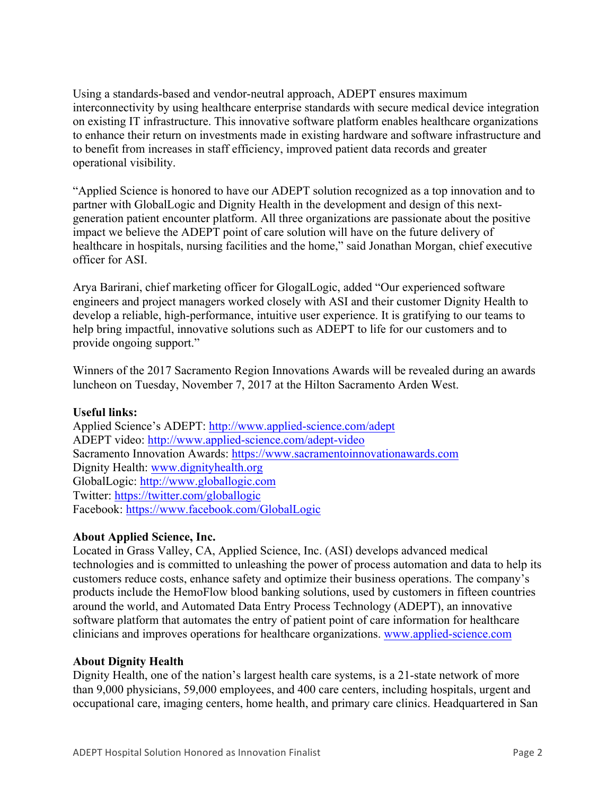Using a standards-based and vendor-neutral approach, ADEPT ensures maximum interconnectivity by using healthcare enterprise standards with secure medical device integration on existing IT infrastructure. This innovative software platform enables healthcare organizations to enhance their return on investments made in existing hardware and software infrastructure and to benefit from increases in staff efficiency, improved patient data records and greater operational visibility.

"Applied Science is honored to have our ADEPT solution recognized as a top innovation and to partner with GlobalLogic and Dignity Health in the development and design of this nextgeneration patient encounter platform. All three organizations are passionate about the positive impact we believe the ADEPT point of care solution will have on the future delivery of healthcare in hospitals, nursing facilities and the home," said Jonathan Morgan, chief executive officer for ASI.

Arya Barirani, chief marketing officer for GlogalLogic, added "Our experienced software engineers and project managers worked closely with ASI and their customer Dignity Health to develop a reliable, high-performance, intuitive user experience. It is gratifying to our teams to help bring impactful, innovative solutions such as ADEPT to life for our customers and to provide ongoing support."

Winners of the 2017 Sacramento Region Innovations Awards will be revealed during an awards luncheon on Tuesday, November 7, 2017 at the Hilton Sacramento Arden West.

#### **Useful links:**

Applied Science's ADEPT: http://www.applied-science.com/adept ADEPT video: http://www.applied-science.com/adept-video Sacramento Innovation Awards: https://www.sacramentoinnovationawards.com Dignity Health: www.dignityhealth.org GlobalLogic: http://www.globallogic.com Twitter: https://twitter.com/globallogic Facebook: https://www.facebook.com/GlobalLogic

### **About Applied Science, Inc.**

Located in Grass Valley, CA, Applied Science, Inc. (ASI) develops advanced medical technologies and is committed to unleashing the power of process automation and data to help its customers reduce costs, enhance safety and optimize their business operations. The company's products include the HemoFlow blood banking solutions, used by customers in fifteen countries around the world, and Automated Data Entry Process Technology (ADEPT), an innovative software platform that automates the entry of patient point of care information for healthcare clinicians and improves operations for healthcare organizations. www.applied-science.com

### **About Dignity Health**

Dignity Health, one of the nation's largest health care systems, is a 21-state network of more than 9,000 physicians, 59,000 employees, and 400 care centers, including hospitals, urgent and occupational care, imaging centers, home health, and primary care clinics. Headquartered in San